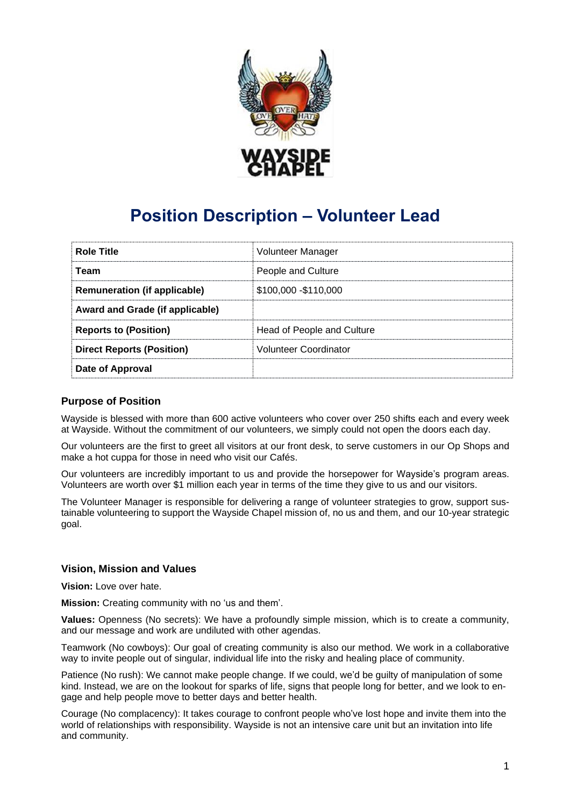

# **Position Description – Volunteer Lead**

| <b>Role Title</b>                   | Volunteer Manager            |
|-------------------------------------|------------------------------|
| Team                                | People and Culture           |
| <b>Remuneration (if applicable)</b> | \$100,000 - \$110,000        |
| Award and Grade (if applicable)     |                              |
| <b>Reports to (Position)</b>        | Head of People and Culture   |
| <b>Direct Reports (Position)</b>    | <b>Volunteer Coordinator</b> |
| Date of Approval                    |                              |

# **Purpose of Position**

Wayside is blessed with more than 600 active volunteers who cover over 250 shifts each and every week at Wayside. Without the commitment of our volunteers, we simply could not open the doors each day.

Our volunteers are the first to greet all visitors at our front desk, to serve customers in our Op Shops and make a hot cuppa for those in need who visit our Cafés.

Our volunteers are incredibly important to us and provide the horsepower for Wayside's program areas. Volunteers are worth over \$1 million each year in terms of the time they give to us and our visitors.

The Volunteer Manager is responsible for delivering a range of volunteer strategies to grow, support sustainable volunteering to support the Wayside Chapel mission of, no us and them, and our 10-year strategic goal.

#### **Vision, Mission and Values**

**Vision:** Love over hate.

**Mission:** Creating community with no 'us and them'.

**Values:** Openness (No secrets): We have a profoundly simple mission, which is to create a community, and our message and work are undiluted with other agendas.

Teamwork (No cowboys): Our goal of creating community is also our method. We work in a collaborative way to invite people out of singular, individual life into the risky and healing place of community.

Patience (No rush): We cannot make people change. If we could, we'd be guilty of manipulation of some kind. Instead, we are on the lookout for sparks of life, signs that people long for better, and we look to engage and help people move to better days and better health.

Courage (No complacency): It takes courage to confront people who've lost hope and invite them into the world of relationships with responsibility. Wayside is not an intensive care unit but an invitation into life and community.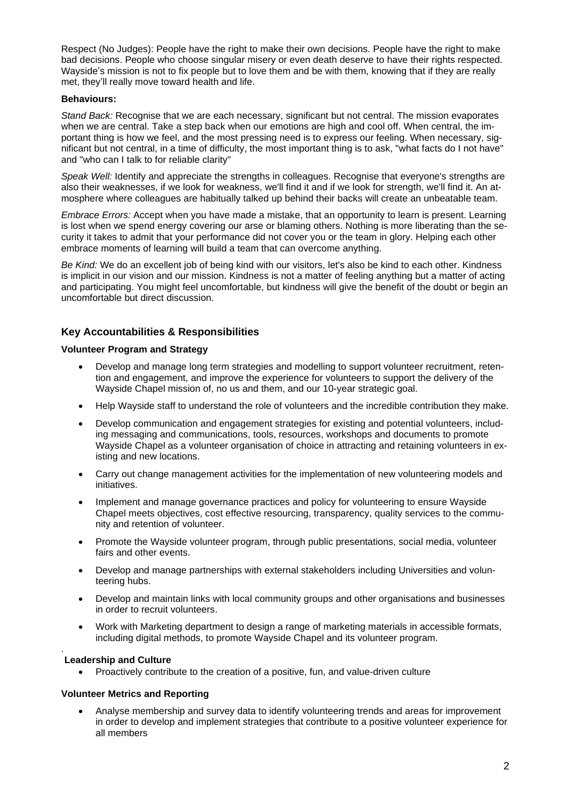Respect (No Judges): People have the right to make their own decisions. People have the right to make bad decisions. People who choose singular misery or even death deserve to have their rights respected. Wayside's mission is not to fix people but to love them and be with them, knowing that if they are really met, they'll really move toward health and life.

#### **Behaviours:**

*Stand Back:* Recognise that we are each necessary, significant but not central. The mission evaporates when we are central. Take a step back when our emotions are high and cool off. When central, the important thing is how we feel, and the most pressing need is to express our feeling. When necessary, significant but not central, in a time of difficulty, the most important thing is to ask, "what facts do I not have" and "who can I talk to for reliable clarity"

*Speak Well:* Identify and appreciate the strengths in colleagues. Recognise that everyone's strengths are also their weaknesses, if we look for weakness, we'll find it and if we look for strength, we'll find it. An atmosphere where colleagues are habitually talked up behind their backs will create an unbeatable team.

*Embrace Errors:* Accept when you have made a mistake, that an opportunity to learn is present. Learning is lost when we spend energy covering our arse or blaming others. Nothing is more liberating than the security it takes to admit that your performance did not cover you or the team in glory. Helping each other embrace moments of learning will build a team that can overcome anything.

*Be Kind:* We do an excellent job of being kind with our visitors, let's also be kind to each other. Kindness is implicit in our vision and our mission. Kindness is not a matter of feeling anything but a matter of acting and participating. You might feel uncomfortable, but kindness will give the benefit of the doubt or begin an uncomfortable but direct discussion.

# **Key Accountabilities & Responsibilities**

#### **Volunteer Program and Strategy**

- Develop and manage long term strategies and modelling to support volunteer recruitment, retention and engagement, and improve the experience for volunteers to support the delivery of the Wayside Chapel mission of, no us and them, and our 10-year strategic goal.
- Help Wayside staff to understand the role of volunteers and the incredible contribution they make.
- Develop communication and engagement strategies for existing and potential volunteers, including messaging and communications, tools, resources, workshops and documents to promote Wayside Chapel as a volunteer organisation of choice in attracting and retaining volunteers in existing and new locations.
- Carry out change management activities for the implementation of new volunteering models and initiatives.
- Implement and manage governance practices and policy for volunteering to ensure Wayside Chapel meets objectives, cost effective resourcing, transparency, quality services to the community and retention of volunteer.
- Promote the Wayside volunteer program, through public presentations, social media, volunteer fairs and other events.
- Develop and manage partnerships with external stakeholders including Universities and volunteering hubs.
- Develop and maintain links with local community groups and other organisations and businesses in order to recruit volunteers.
- Work with Marketing department to design a range of marketing materials in accessible formats, including digital methods, to promote Wayside Chapel and its volunteer program.

#### . **Leadership and Culture**

• Proactively contribute to the creation of a positive, fun, and value-driven culture

#### **Volunteer Metrics and Reporting**

• Analyse membership and survey data to identify volunteering trends and areas for improvement in order to develop and implement strategies that contribute to a positive volunteer experience for all members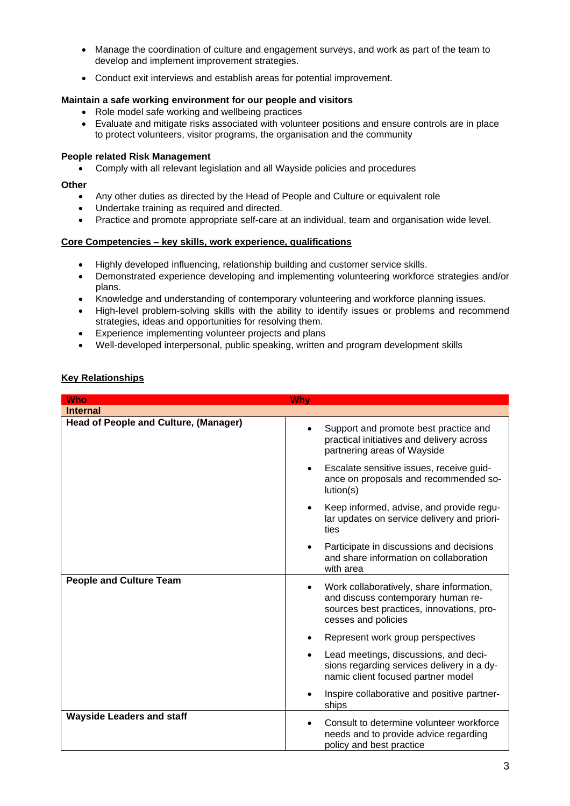- Manage the coordination of culture and engagement surveys, and work as part of the team to develop and implement improvement strategies.
- Conduct exit interviews and establish areas for potential improvement.

#### **Maintain a safe working environment for our people and visitors**

- Role model safe working and wellbeing practices
- Evaluate and mitigate risks associated with volunteer positions and ensure controls are in place to protect volunteers, visitor programs, the organisation and the community

#### **People related Risk Management**

• Comply with all relevant legislation and all Wayside policies and procedures

#### **Other**

- Any other duties as directed by the Head of People and Culture or equivalent role
- Undertake training as required and directed.
- Practice and promote appropriate self-care at an individual, team and organisation wide level.

#### **Core Competencies – key skills, work experience, qualifications**

- Highly developed influencing, relationship building and customer service skills.
- Demonstrated experience developing and implementing volunteering workforce strategies and/or plans.
- Knowledge and understanding of contemporary volunteering and workforce planning issues.
- High-level problem-solving skills with the ability to identify issues or problems and recommend strategies, ideas and opportunities for resolving them.
- Experience implementing volunteer projects and plans
- Well-developed interpersonal, public speaking, written and program development skills

### **Key Relationships**

| <b>Who</b>                                   | Why                                                                                                                                                             |
|----------------------------------------------|-----------------------------------------------------------------------------------------------------------------------------------------------------------------|
| <b>Internal</b>                              |                                                                                                                                                                 |
| <b>Head of People and Culture, (Manager)</b> | Support and promote best practice and<br>practical initiatives and delivery across<br>partnering areas of Wayside                                               |
|                                              | Escalate sensitive issues, receive guid-<br>$\bullet$<br>ance on proposals and recommended so-<br>lution(s)                                                     |
|                                              | Keep informed, advise, and provide regu-<br>lar updates on service delivery and priori-<br>ties                                                                 |
|                                              | Participate in discussions and decisions<br>and share information on collaboration<br>with area                                                                 |
| <b>People and Culture Team</b>               | Work collaboratively, share information,<br>$\bullet$<br>and discuss contemporary human re-<br>sources best practices, innovations, pro-<br>cesses and policies |
|                                              | Represent work group perspectives                                                                                                                               |
|                                              | Lead meetings, discussions, and deci-<br>sions regarding services delivery in a dy-<br>namic client focused partner model                                       |
|                                              | Inspire collaborative and positive partner-<br>ships                                                                                                            |
| <b>Wayside Leaders and staff</b>             | Consult to determine volunteer workforce<br>needs and to provide advice regarding<br>policy and best practice                                                   |